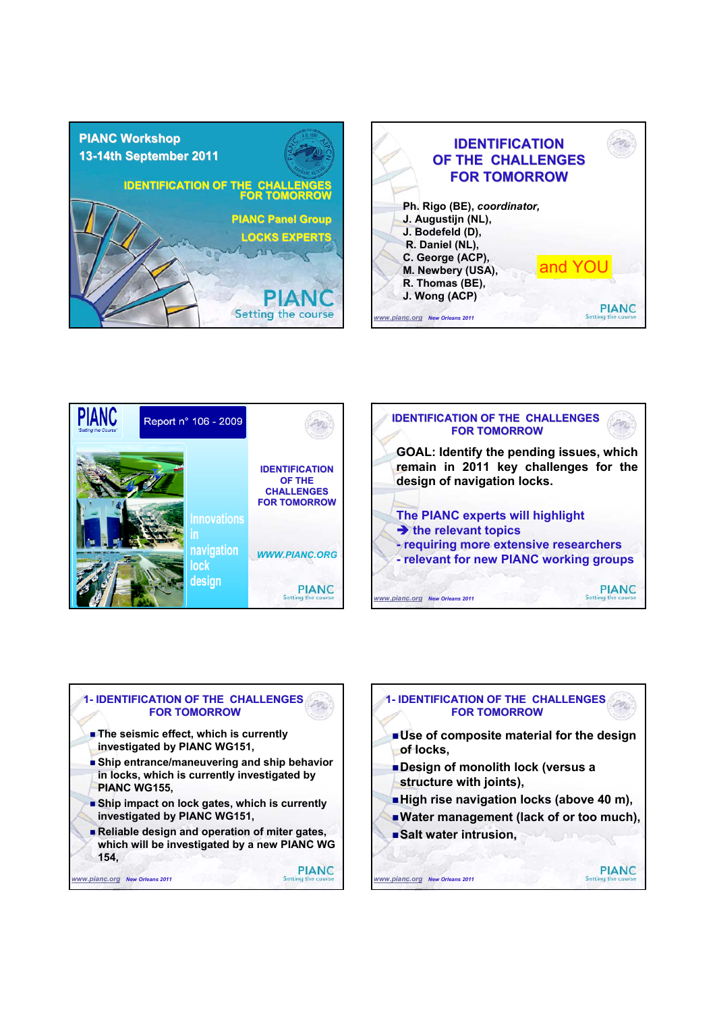